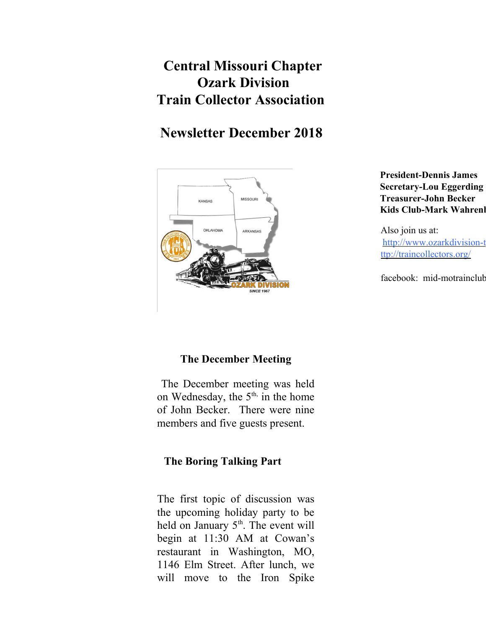# **Central Missouri Chapter Ozark Division Train Collector Association**

## **Newsletter December 2018**



**President-Dennis James Secretary-Lou Eggerding Treasurer-John Becker Kids Club-Mark Wahrenl** 

Also join us at: http://www.ozarkdivision-t ttp://traincollectors.org/

facebook: mid-motrainclub

## **The December Meeting**

 The December meeting was held on Wednesday, the  $5<sup>th</sup>$ , in the home of John Becker. There were nine members and five guests present.

## **The Boring Talking Part**

The first topic of discussion was the upcoming holiday party to be held on January 5<sup>th</sup>. The event will begin at 11:30 AM at Cowan's restaurant in Washington, MO, 1146 Elm Street. After lunch, we will move to the Iron Spike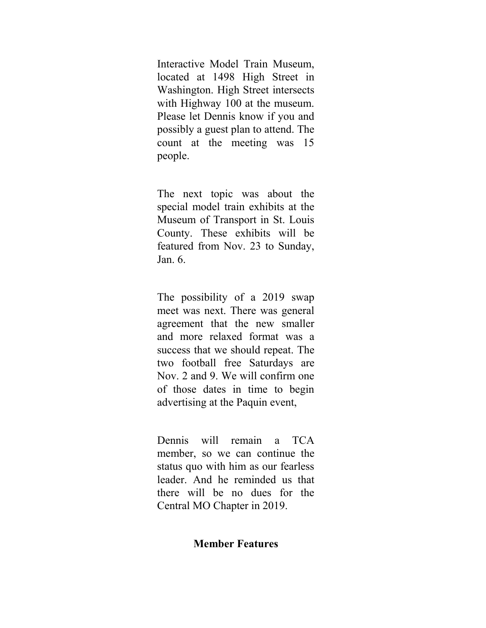Interactive Model Train Museum, located at 1498 High Street in Washington. High Street intersects with Highway 100 at the museum. Please let Dennis know if you and possibly a guest plan to attend. The count at the meeting was 15 people.

The next topic was about the special model train exhibits at the Museum of Transport in St. Louis County. These exhibits will be featured from Nov. 23 to Sunday, Jan. 6.

The possibility of a 2019 swap meet was next. There was general agreement that the new smaller and more relaxed format was a success that we should repeat. The two football free Saturdays are Nov. 2 and 9. We will confirm one of those dates in time to begin advertising at the Paquin event,

Dennis will remain a TCA member, so we can continue the status quo with him as our fearless leader. And he reminded us that there will be no dues for the Central MO Chapter in 2019.

#### **Member Features**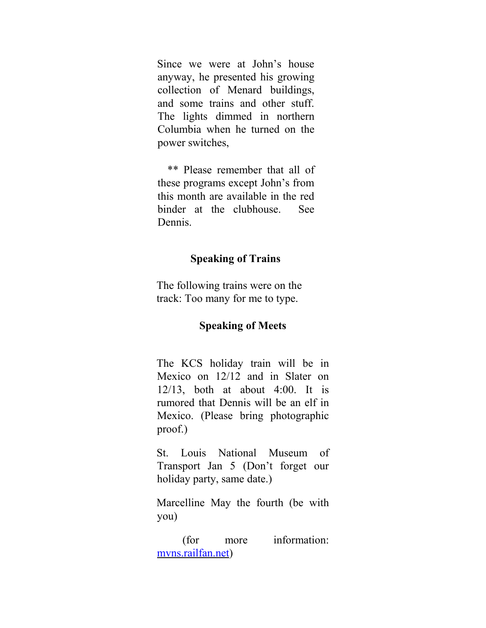Since we were at John's house anyway, he presented his growing collection of Menard buildings, and some trains and other stuff. The lights dimmed in northern Columbia when he turned on the power switches,

 \*\* Please remember that all of these programs except John's from this month are available in the red binder at the clubhouse. See Dennis.

### **Speaking of Trains**

The following trains were on the track: Too many for me to type.

#### **Speaking of Meets**

The KCS holiday train will be in Mexico on 12/12 and in Slater on 12/13, both at about 4:00. It is rumored that Dennis will be an elf in Mexico. (Please bring photographic proof.)

St. Louis National Museum of Transport Jan 5 (Don't forget our holiday party, same date.)

Marcelline May the fourth (be with you)

 (for more information: mvns.railfan.net)